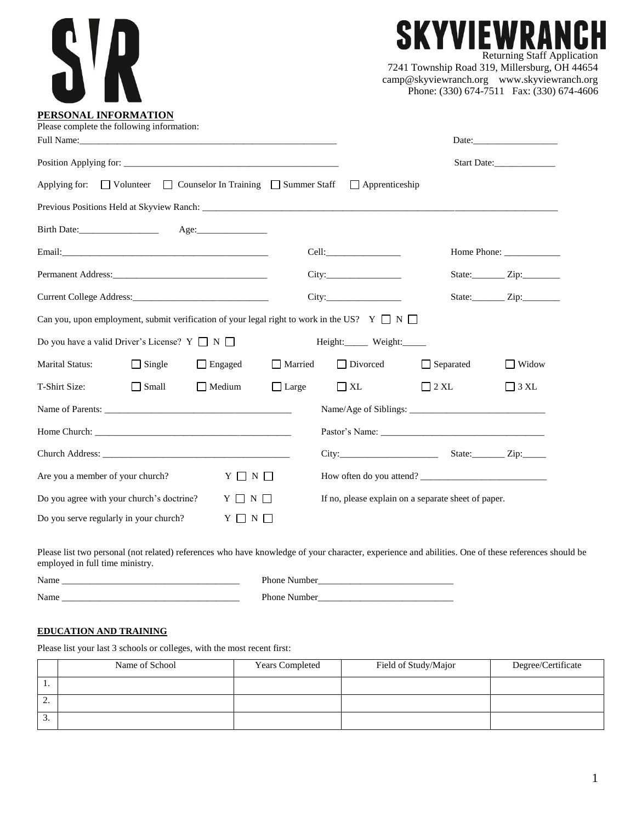| PERSONAL INFORMATION                                                                                       |              |                                                     |  | VIEWRA<br><b>Returning Staff Application</b><br>7241 Township Road 319, Millersburg, OH 44654<br>camp@skyviewranch.org www.skyviewranch.org<br>Phone: (330) 674-7511 Fax: (330) 674-4606 |
|------------------------------------------------------------------------------------------------------------|--------------|-----------------------------------------------------|--|------------------------------------------------------------------------------------------------------------------------------------------------------------------------------------------|
| Please complete the following information:                                                                 |              |                                                     |  |                                                                                                                                                                                          |
|                                                                                                            |              |                                                     |  | Start Date:                                                                                                                                                                              |
| Applying for: $\Box$ Volunteer $\Box$ Counselor In Training $\Box$ Summer Staff $\Box$ Apprenticeship      |              |                                                     |  |                                                                                                                                                                                          |
|                                                                                                            |              |                                                     |  | Home Phone:                                                                                                                                                                              |
|                                                                                                            |              |                                                     |  | State:__________ Zip:_________                                                                                                                                                           |
|                                                                                                            |              |                                                     |  | State: $\qquad \qquad \text{Zip:}$                                                                                                                                                       |
| Can you, upon employment, submit verification of your legal right to work in the US? $Y \square N \square$ |              |                                                     |  |                                                                                                                                                                                          |
| Do you have a valid Driver's License? $Y \square N \square$                                                |              | Height:______ Weight:______                         |  |                                                                                                                                                                                          |
| $\Box$ Single<br>$\Box$ Engaged<br><b>Marital Status:</b>                                                  | Married      | □ Divorced □ Separated                              |  | $\Box$ Widow                                                                                                                                                                             |
| T-Shirt Size:<br>$\Box$ Small<br>$\Box$ Medium                                                             | $\Box$ Large | $\Box$ XL<br>$2 \mathrm{XL}$                        |  | $\Box$ 3 XL                                                                                                                                                                              |
|                                                                                                            |              |                                                     |  |                                                                                                                                                                                          |
|                                                                                                            |              |                                                     |  |                                                                                                                                                                                          |
|                                                                                                            |              |                                                     |  |                                                                                                                                                                                          |
| $Y \Box N \Box$<br>Are you a member of your church?                                                        |              | How often do you attend?                            |  |                                                                                                                                                                                          |
| Do you agree with your church's doctrine? $Y \square N \square$                                            |              | If no, please explain on a separate sheet of paper. |  |                                                                                                                                                                                          |
| Do you serve regularly in your church?<br>$Y \Box N \Box$                                                  |              |                                                     |  |                                                                                                                                                                                          |

Please list two personal (not related) references who have knowledge of your character, experience and abilities. One of these references should be employed in full time ministry.

Name \_\_\_\_\_\_\_\_\_\_\_\_\_\_\_\_\_\_\_\_\_\_\_\_\_\_\_\_\_\_\_\_\_\_\_\_\_\_ Phone Number\_\_\_\_\_\_\_\_\_\_\_\_\_\_\_\_\_\_\_\_\_\_\_\_\_\_\_\_\_ Name \_\_\_\_\_\_\_\_\_\_\_\_\_\_\_\_\_\_\_\_\_\_\_\_\_\_\_\_\_\_\_\_\_\_\_\_\_\_ Phone Number\_\_\_\_\_\_\_\_\_\_\_\_\_\_\_\_\_\_\_\_\_\_\_\_\_\_\_\_\_

## **EDUCATION AND TRAINING**

Please list your last 3 schools or colleges, with the most recent first:

|     | Name of School | <b>Years Completed</b> | Field of Study/Major | Degree/Certificate |
|-----|----------------|------------------------|----------------------|--------------------|
| . . |                |                        |                      |                    |
| ٠.  |                |                        |                      |                    |
| J.  |                |                        |                      |                    |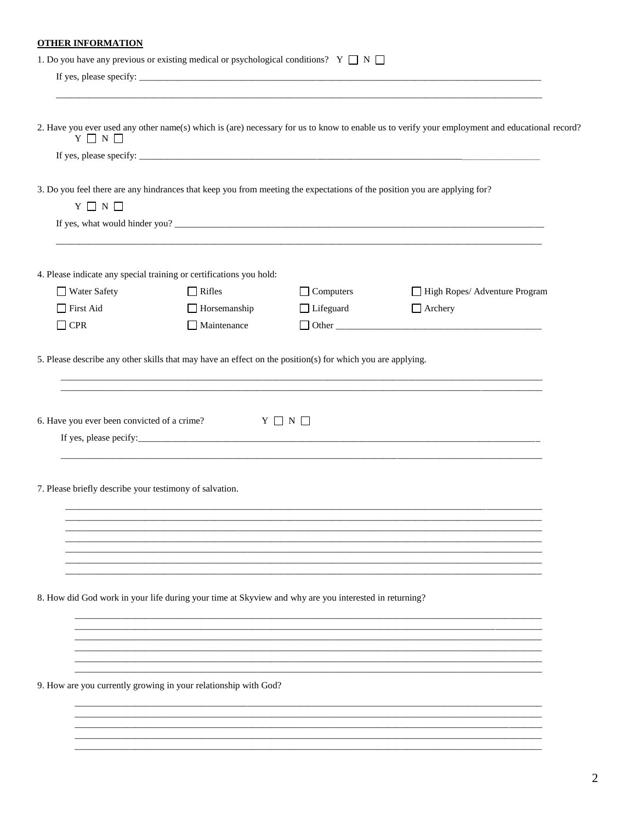# **OTHER INFORMATION**

|                                                         | 1. Do you have any previous or existing medical or psychological conditions? $Y \Box N \Box$                              |                  |                                                                                                                                                |
|---------------------------------------------------------|---------------------------------------------------------------------------------------------------------------------------|------------------|------------------------------------------------------------------------------------------------------------------------------------------------|
|                                                         |                                                                                                                           |                  |                                                                                                                                                |
|                                                         |                                                                                                                           |                  |                                                                                                                                                |
| $Y \square N \square$                                   |                                                                                                                           |                  | 2. Have you ever used any other name(s) which is (are) necessary for us to know to enable us to verify your employment and educational record? |
|                                                         |                                                                                                                           |                  |                                                                                                                                                |
|                                                         | 3. Do you feel there are any hindrances that keep you from meeting the expectations of the position you are applying for? |                  |                                                                                                                                                |
| $Y \square N \square$                                   |                                                                                                                           |                  |                                                                                                                                                |
|                                                         |                                                                                                                           |                  |                                                                                                                                                |
|                                                         | 4. Please indicate any special training or certifications you hold:                                                       |                  |                                                                                                                                                |
| $\Box$ Water Safety                                     | $\Box$ Rifles                                                                                                             | $\Box$ Computers | High Ropes/ Adventure Program                                                                                                                  |
| $\Box$ First Aid                                        | $\Box$ Horsemanship                                                                                                       | □ Lifeguard      | $\Box$ Archery                                                                                                                                 |
| $\Box$ CPR                                              | Maintenance                                                                                                               |                  |                                                                                                                                                |
| 6. Have you ever been convicted of a crime?             | $Y \Box N \Box$                                                                                                           |                  | and the control of the control of the control of the control of the control of the control of the control of the                               |
| 7. Please briefly describe your testimony of salvation. |                                                                                                                           |                  |                                                                                                                                                |
|                                                         |                                                                                                                           |                  |                                                                                                                                                |
|                                                         |                                                                                                                           |                  |                                                                                                                                                |
|                                                         | 8. How did God work in your life during your time at Skyview and why are you interested in returning?                     |                  |                                                                                                                                                |
|                                                         |                                                                                                                           |                  |                                                                                                                                                |
|                                                         |                                                                                                                           |                  |                                                                                                                                                |
|                                                         | 9. How are you currently growing in your relationship with God?                                                           |                  |                                                                                                                                                |
|                                                         |                                                                                                                           |                  |                                                                                                                                                |